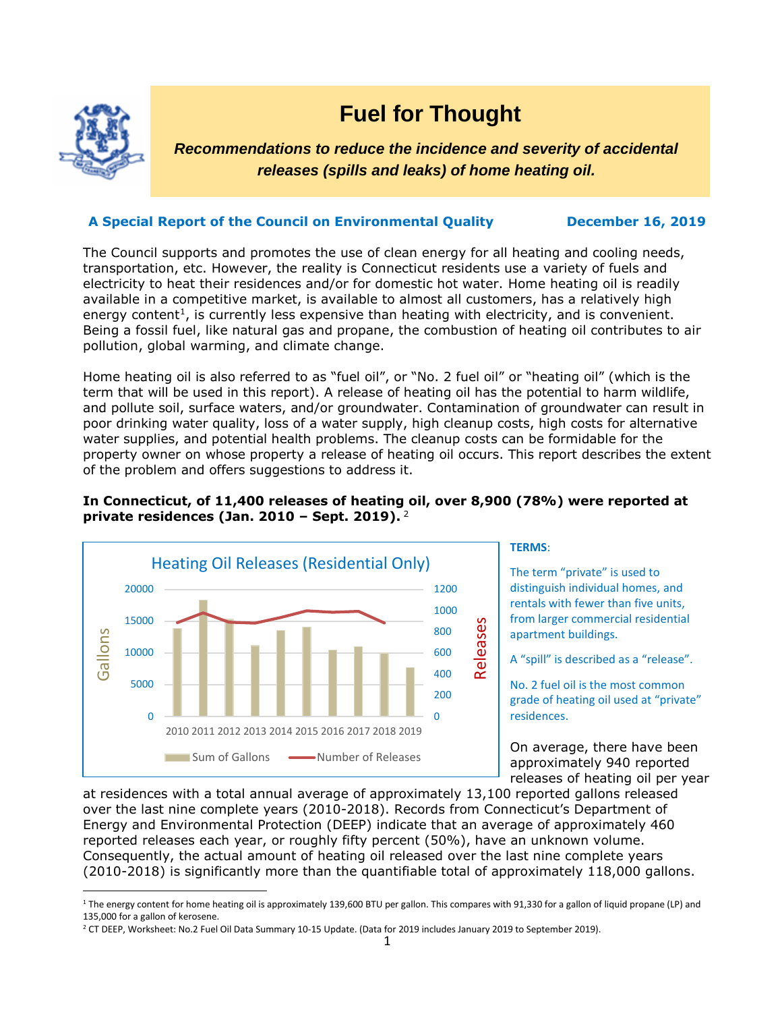

 $\ddot{\phantom{a}}$ 

# **Fuel for Thought**

*Recommendations to reduce the incidence and severity of accidental releases (spills and leaks) of home heating oil.*

#### **A Special Report of the Council on Environmental Quality December 16, 2019**

The Council supports and promotes the use of clean energy for all heating and cooling needs, transportation, etc. However, the reality is Connecticut residents use a variety of fuels and electricity to heat their residences and/or for domestic hot water. Home heating oil is readily available in a competitive market, is available to almost all customers, has a relatively high energy content<sup>1</sup>, is currently less expensive than heating with electricity, and is convenient. Being a fossil fuel, like natural gas and propane, the combustion of heating oil contributes to air pollution, global warming, and climate change.

Home heating oil is also referred to as "fuel oil", or "No. 2 fuel oil" or "heating oil" (which is the term that will be used in this report). A release of heating oil has the potential to harm wildlife, and pollute soil, surface waters, and/or groundwater. Contamination of groundwater can result in poor drinking water quality, loss of a water supply, high cleanup costs, high costs for alternative water supplies, and potential health problems. The cleanup costs can be formidable for the property owner on whose property a release of heating oil occurs. This report describes the extent of the problem and offers suggestions to address it.

### **In Connecticut, of 11,400 releases of heating oil, over 8,900 (78%) were reported at private residences (Jan. 2010 – Sept. 2019).** 2



### **TERMS**:

The term "private" is used to distinguish individual homes, and rentals with fewer than five units, from larger commercial residential apartment buildings.

A "spill" is described as a "release".

No. 2 fuel oil is the most common grade of heating oil used at "private" residences.

On average, there have been approximately 940 reported releases of heating oil per year

at residences with a total annual average of approximately 13,100 reported gallons released over the last nine complete years (2010-2018). Records from Connecticut's Department of Energy and Environmental Protection (DEEP) indicate that an average of approximately 460 reported releases each year, or roughly fifty percent (50%), have an unknown volume. Consequently, the actual amount of heating oil released over the last nine complete years (2010-2018) is significantly more than the quantifiable total of approximately 118,000 gallons.

<sup>&</sup>lt;sup>1</sup> The energy content for home heating oil is approximately 139,600 BTU per gallon. This compares with 91,330 for a gallon of liquid propane (LP) and 135,000 for a gallon of kerosene.

<sup>&</sup>lt;sup>2</sup> CT DEEP, Worksheet: No.2 Fuel Oil Data Summary 10-15 Update. (Data for 2019 includes January 2019 to September 2019).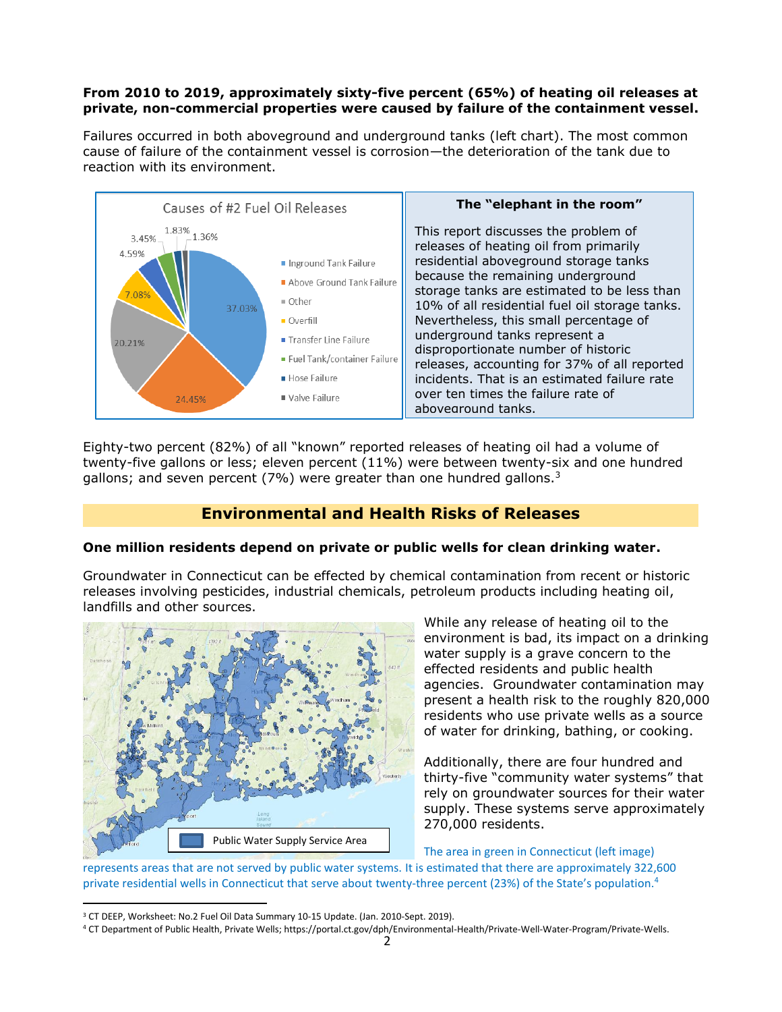### **From 2010 to 2019, approximately sixty-five percent (65%) of heating oil releases at private, non-commercial properties were caused by failure of the containment vessel.**

Failures occurred in both aboveground and underground tanks (left chart). The most common cause of failure of the containment vessel is corrosion—the deterioration of the tank due to reaction with its environment.



Eighty-two percent (82%) of all "known" reported releases of heating oil had a volume of twenty-five gallons or less; eleven percent (11%) were between twenty-six and one hundred gallons; and seven percent (7%) were greater than one hundred gallons.<sup>3</sup>

# **Environmental and Health Risks of Releases**

### **One million residents depend on private or public wells for clean drinking water.**

Groundwater in Connecticut can be effected by chemical contamination from recent or historic releases involving pesticides, industrial chemicals, petroleum products including heating oil, landfills and other sources.



While any release of heating oil to the environment is bad, its impact on a drinking water supply is a grave concern to the effected residents and public health agencies. Groundwater contamination may present a health risk to the roughly 820,000 residents who use private wells as a source of water for drinking, bathing, or cooking.

Additionally, there are four hundred and thirty-five "community water systems" that rely on groundwater sources for their water supply. These systems serve approximately 270,000 residents.

The area in green in Connecticut (left image)

represents areas that are not served by public water systems. It is estimated that there are approximately 322,600 private residential wells in Connecticut that serve about twenty-three percent (23%) of the State's population.<sup>4</sup>

 $\ddot{\phantom{a}}$ 

<sup>&</sup>lt;sup>3</sup> CT DEEP, Worksheet: No.2 Fuel Oil Data Summary 10-15 Update. (Jan. 2010-Sept. 2019).

<sup>4</sup> CT Department of Public Health, Private Wells; https://portal.ct.gov/dph/Environmental-Health/Private-Well-Water-Program/Private-Wells.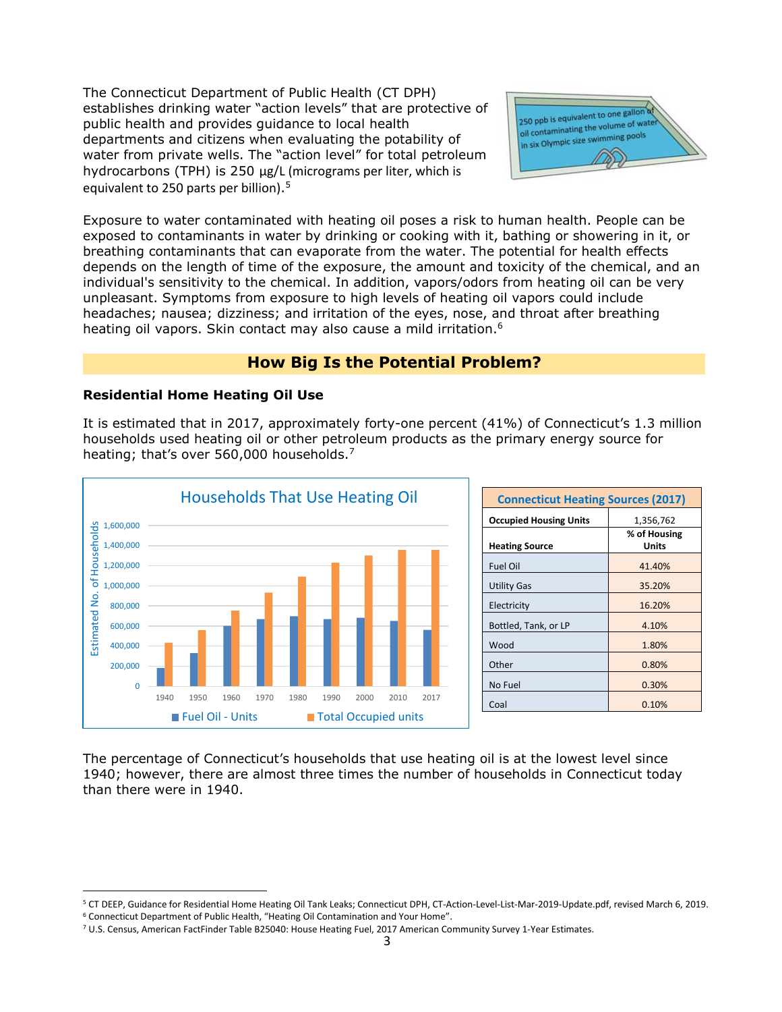The Connecticut Department of Public Health (CT DPH) establishes drinking water "action levels" that are protective of public health and provides guidance to local health departments and citizens when evaluating the potability of water from private wells. The "action level" for total petroleum hydrocarbons (TPH) is 250 µg/L (micrograms per liter, which is equivalent to 250 parts per billion). 5



Exposure to water contaminated with heating oil poses a risk to human health. People can be exposed to contaminants in water by drinking or cooking with it, bathing or showering in it, or breathing contaminants that can evaporate from the water. The potential for health effects depends on the length of time of the exposure, the amount and toxicity of the chemical, and an individual's sensitivity to the chemical. In addition, vapors/odors from heating oil can be very unpleasant. Symptoms from exposure to high levels of heating oil vapors could include headaches; nausea; dizziness; and irritation of the eyes, nose, and throat after breathing heating oil vapors. Skin contact may also cause a mild irritation.<sup>6</sup>

# **How Big Is the Potential Problem?**

### **Residential Home Heating Oil Use**

 $\ddot{\phantom{a}}$ 

It is estimated that in 2017, approximately forty-one percent (41%) of Connecticut's 1.3 million households used heating oil or other petroleum products as the primary energy source for heating; that's over 560,000 households.<sup>7</sup>



| <b>Connecticut Heating Sources (2017)</b> |                       |  |
|-------------------------------------------|-----------------------|--|
| <b>Occupied Housing Units</b>             | 1,356,762             |  |
| <b>Heating Source</b>                     | % of Housing<br>Units |  |
| <b>Fuel Oil</b>                           | 41.40%                |  |
| <b>Utility Gas</b>                        | 35.20%                |  |
| Electricity                               | 16.20%                |  |
| Bottled, Tank, or LP                      | 4.10%                 |  |
| Wood                                      | 1.80%                 |  |
| Other                                     | 0.80%                 |  |
| No Fuel                                   | 0.30%                 |  |
| Coal                                      | 0.10%                 |  |

The percentage of Connecticut's households that use heating oil is at the lowest level since 1940; however, there are almost three times the number of households in Connecticut today than there were in 1940.

<sup>5</sup> CT DEEP, Guidance for Residential Home Heating Oil Tank Leaks; Connecticut DPH, CT-Action-Level-List-Mar-2019-Update.pdf, revised March 6, 2019. <sup>6</sup> Connecticut Department of Public Health, "Heating Oil Contamination and Your Home".

<sup>7</sup> U.S. Census, American FactFinder Table B25040: House Heating Fuel, 2017 American Community Survey 1-Year Estimates.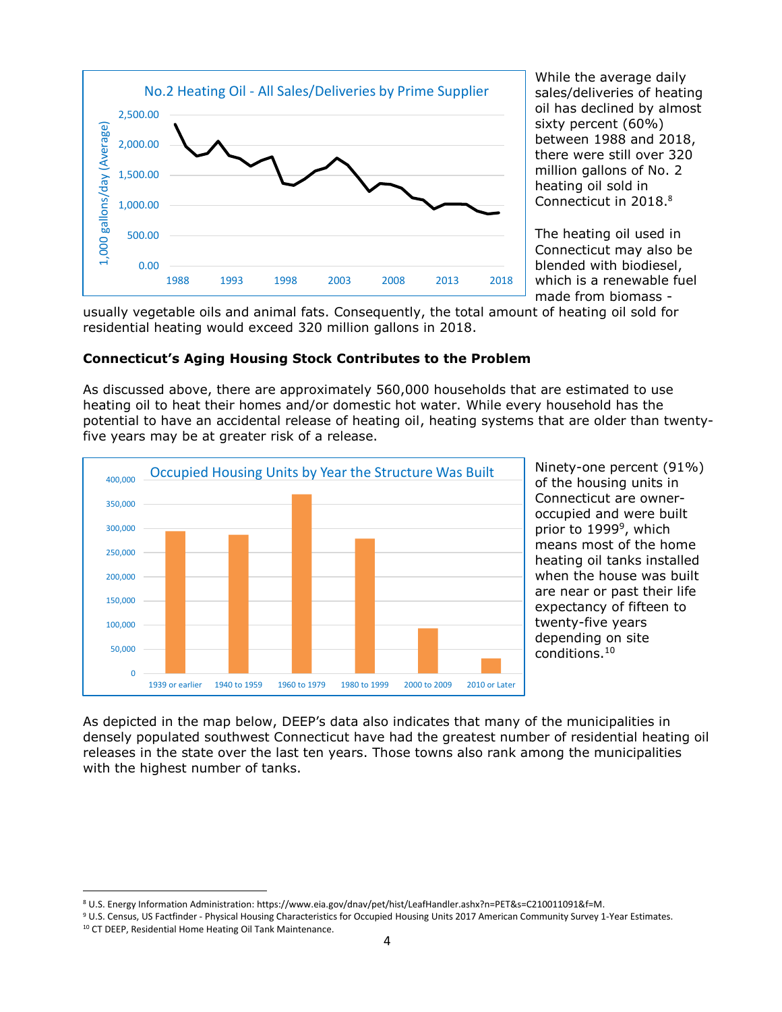

While the average daily sales/deliveries of heating oil has declined by almost sixty percent (60%) between 1988 and 2018, there were still over 320 million gallons of No. 2 heating oil sold in Connecticut in 2018.<sup>8</sup>

The heating oil used in Connecticut may also be blended with biodiesel, which is a renewable fuel made from biomass -

usually vegetable oils and animal fats. Consequently, the total amount of heating oil sold for residential heating would exceed 320 million gallons in 2018.

### **Connecticut's Aging Housing Stock Contributes to the Problem**

As discussed above, there are approximately 560,000 households that are estimated to use heating oil to heat their homes and/or domestic hot water. While every household has the potential to have an accidental release of heating oil, heating systems that are older than twentyfive years may be at greater risk of a release.



Ninety-one percent (91%) of the housing units in Connecticut are owneroccupied and were built prior to 1999<sup>9</sup>, which means most of the home heating oil tanks installed when the house was built are near or past their life expectancy of fifteen to twenty-five years depending on site conditions.<sup>10</sup>

As depicted in the map below, DEEP's data also indicates that many of the municipalities in densely populated southwest Connecticut have had the greatest number of residential heating oil releases in the state over the last ten years. Those towns also rank among the municipalities with the highest number of tanks.

 $\ddot{\phantom{a}}$ <sup>8</sup> U.S. Energy Information Administration: https://www.eia.gov/dnav/pet/hist/LeafHandler.ashx?n=PET&s=C210011091&f=M.

<sup>9</sup> U.S. Census, US Factfinder - Physical Housing Characteristics for Occupied Housing Units 2017 American Community Survey 1-Year Estimates.

<sup>10</sup> CT DEEP, Residential Home Heating Oil Tank Maintenance.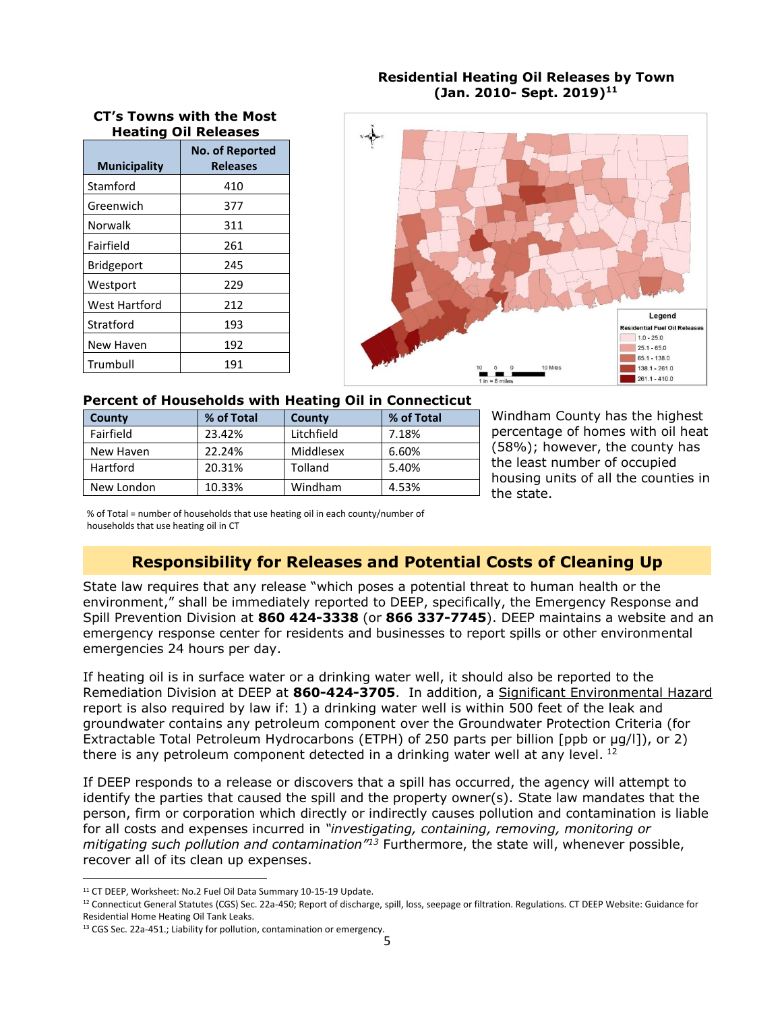#### **Residential Heating Oil Releases by Town (Jan. 2010- Sept. 2019)<sup>11</sup>**

#### **CT's Towns with the Most Heating Oil Releases**

| <b>Municipality</b> | <b>No. of Reported</b><br><b>Releases</b> |
|---------------------|-------------------------------------------|
| Stamford            | 410                                       |
| Greenwich           | 377                                       |
| Norwalk             | 311                                       |
| Fairfield           | 261                                       |
| <b>Bridgeport</b>   | 245                                       |
| Westport            | 229                                       |
| West Hartford       | 212                                       |
| Stratford           | 193                                       |
| New Haven           | 192                                       |
| Trumbull            | 191                                       |



#### **Percent of Households with Heating Oil in Connecticut**

| County     | % of Total | County     | % of Total |
|------------|------------|------------|------------|
| Fairfield  | 23.42%     | Litchfield | 7.18%      |
| New Haven  | 22.24%     | Middlesex  | 6.60%      |
| Hartford   | 20.31%     | Tolland    | 5.40%      |
| New London | 10.33%     | Windham    | 4.53%      |

Windham County has the highest percentage of homes with oil heat (58%); however, the county has the least number of occupied housing units of all the counties in the state.

% of Total = number of households that use heating oil in each county/number of households that use heating oil in CT

# **Responsibility for Releases and Potential Costs of Cleaning Up**

State law requires that any release "which poses a potential threat to human health or the environment," shall be immediately reported to DEEP, specifically, the Emergency Response and Spill Prevention Division at **860 424-3338** (or **866 337-7745**). DEEP maintains a website and an emergency response center for residents and businesses to report spills or other environmental emergencies 24 hours per day.

If heating oil is in surface water or a drinking water well, it should also be reported to the Remediation Division at DEEP at **860-424-3705**. In addition, a [Significant Environmental Hazard](https://www.ct.gov/deep/cwp/view.asp?a=2715&q=324976&deepNav_GID=1626) report is also required by law if: 1) a drinking water well is within 500 feet of the leak and groundwater contains any petroleum component over the Groundwater Protection Criteria (for Extractable Total Petroleum Hydrocarbons (ETPH) of 250 parts per billion [ppb or µg/l]), or 2) there is any petroleum component detected in a drinking water well at any level.  $^{12}$ 

If DEEP responds to a release or discovers that a spill has occurred, the agency will attempt to identify the parties that caused the spill and the property owner(s). State law mandates that the person, firm or corporation which directly or indirectly causes pollution and contamination is liable for all costs and expenses incurred in *"investigating, containing, removing, monitoring or mitigating such pollution and contamination"<sup>13</sup>* Furthermore, the state will, whenever possible, recover all of its clean up expenses.

<sup>11</sup> CT DEEP, Worksheet: No.2 Fuel Oil Data Summary 10-15-19 Update.

<sup>&</sup>lt;sup>12</sup> Connecticut General Statutes (CGS) Sec. 22a-450; Report of discharge, spill, loss, seepage or filtration. Regulations. CT DEEP Website: Guidance for Residential Home Heating Oil Tank Leaks.

<sup>13</sup> CGS Sec. 22a-451.; Liability for pollution, contamination or emergency.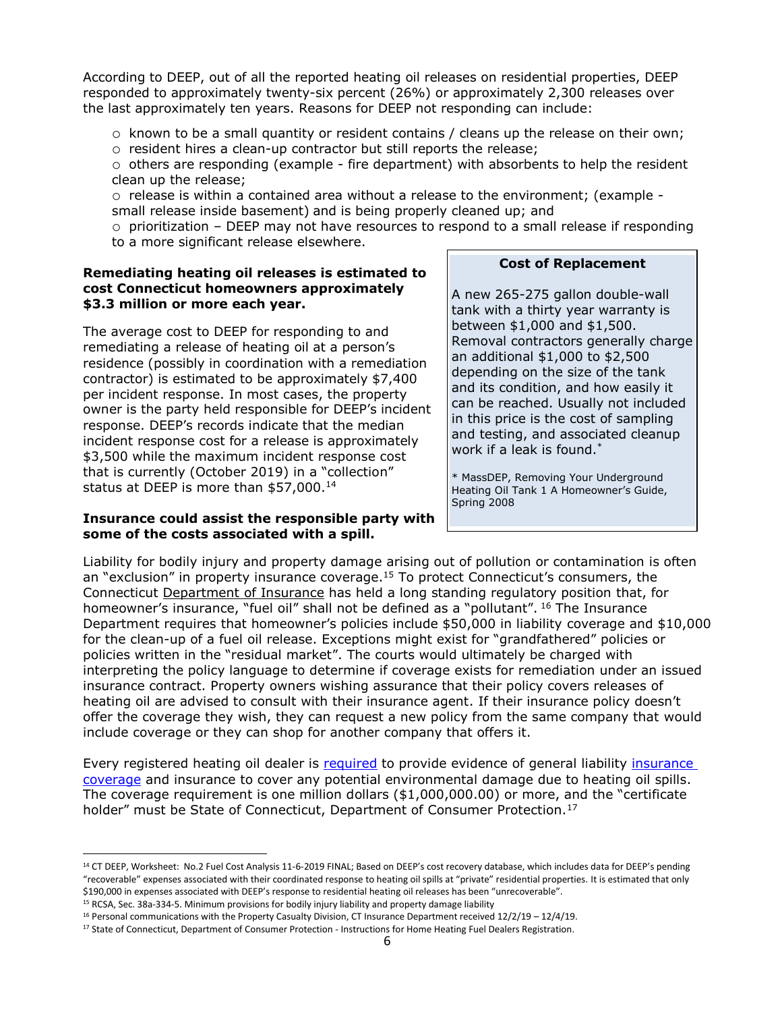According to DEEP, out of all the reported heating oil releases on residential properties, DEEP responded to approximately twenty-six percent (26%) or approximately 2,300 releases over the last approximately ten years. Reasons for DEEP not responding can include:

 $\circ$  known to be a small quantity or resident contains / cleans up the release on their own;

o resident hires a clean-up contractor but still reports the release;

 $\circ$  others are responding (example - fire department) with absorbents to help the resident clean up the release;

 $\circ$  release is within a contained area without a release to the environment; (example small release inside basement) and is being properly cleaned up; and

 $\circ$  prioritization – DEEP may not have resources to respond to a small release if responding to a more significant release elsewhere.

#### **Remediating heating oil releases is estimated to cost Connecticut homeowners approximately \$3.3 million or more each year.**

The average cost to DEEP for responding to and remediating a release of heating oil at a person's residence (possibly in coordination with a remediation contractor) is estimated to be approximately \$7,400 per incident response. In most cases, the property owner is the party held responsible for DEEP's incident response. DEEP's records indicate that the median incident response cost for a release is approximately \$3,500 while the maximum incident response cost that is currently (October 2019) in a "collection" status at DEEP is more than  $$57,000.<sup>14</sup>$ 

#### **Insurance could assist the responsible party with some of the costs associated with a spill.**

### **Cost of Replacement**

A new 265-275 gallon double-wall tank with a thirty year warranty is between \$1,000 and \$1,500. Removal contractors generally charge an additional \$1,000 to \$2,500 depending on the size of the tank and its condition, and how easily it can be reached. Usually not included in this price is the cost of sampling and testing, and associated cleanup work if a leak is found.\*

\* MassDEP, Removing Your Underground Heating Oil Tank 1 A Homeowner's Guide, Spring 2008

Liability for bodily injury and property damage arising out of pollution or contamination is often an "exclusion" in property insurance coverage.<sup>15</sup> To protect Connecticut's consumers, the Connecticut [Department of Insurance](https://portal.ct.gov/CID/Property-and-Casualty/The-Property-and-Casualty-Division) has held a long standing regulatory position that, for homeowner's insurance, "fuel oil" shall not be defined as a "pollutant". <sup>16</sup> The Insurance Department requires that homeowner's policies include \$50,000 in liability coverage and \$10,000 for the clean-up of a fuel oil release. Exceptions might exist for "grandfathered" policies or policies written in the "residual market". The courts would ultimately be charged with interpreting the policy language to determine if coverage exists for remediation under an issued insurance contract. Property owners wishing assurance that their policy covers releases of heating oil are advised to consult with their insurance agent. If their insurance policy doesn't offer the coverage they wish, they can request a new policy from the same company that would include coverage or they can shop for another company that offers it.

Every registered heating oil dealer is [required](https://www.cga.ct.gov/current/pub/chap_296.htm#sec_16a-22d) to provide evidence of general liability insurance [coverage](https://portal.ct.gov/-/media/DCP/food_standards/Standards/HOD/heating-oil-dealer-app-may-17.pdf) and insurance to cover any potential environmental damage due to heating oil spills. The coverage requirement is one million dollars (\$1,000,000.00) or more, and the "certificate holder" must be State of Connecticut, Department of Consumer Protection.<sup>17</sup>

 $\ddot{\phantom{a}}$ 

<sup>&</sup>lt;sup>14</sup> CT DEEP, Worksheet: No.2 Fuel Cost Analysis 11-6-2019 FINAL; Based on DEEP's cost recovery database, which includes data for DEEP's pending "recoverable" expenses associated with their coordinated response to heating oil spills at "private" residential properties. It is estimated that only \$190,000 in expenses associated with DEEP's response to residential heating oil releases has been "unrecoverable".

<sup>15</sup> RCSA, Sec. 38a-334-5. Minimum provisions for bodily injury liability and property damage liability

 $16$  Personal communications with the Property Casualty Division, CT Insurance Department received  $12/2/19 - 12/4/19$ .

<sup>17</sup> State of Connecticut, Department of Consumer Protection - Instructions for Home Heating Fuel Dealers Registration.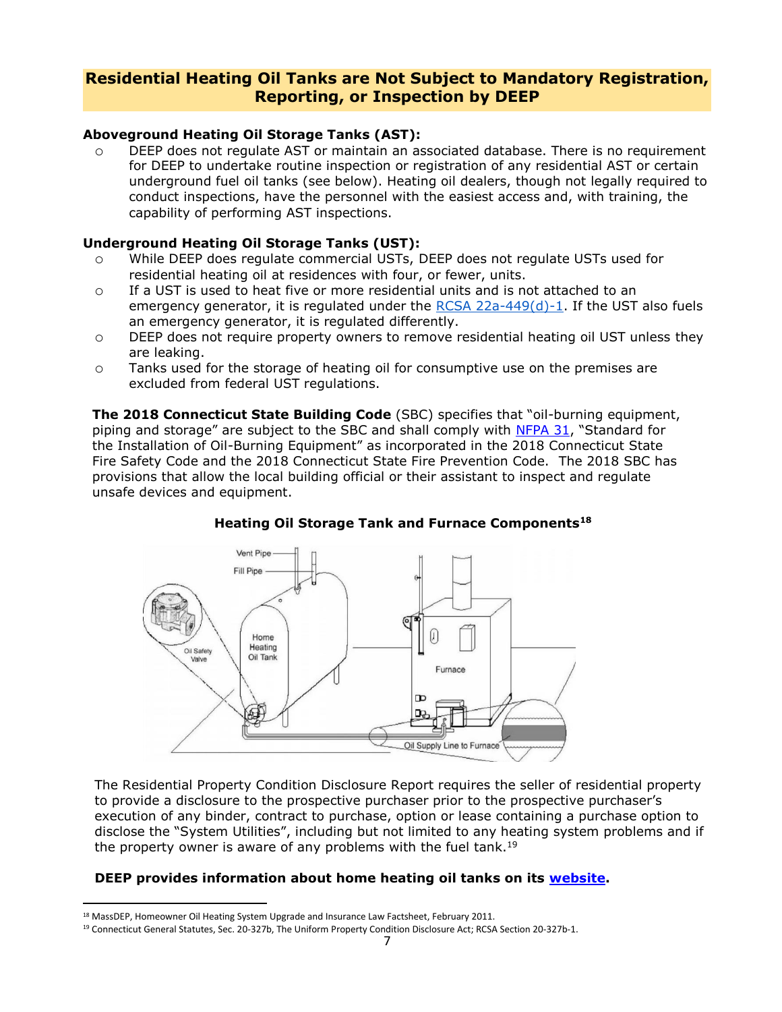# **Residential Heating Oil Tanks are Not Subject to Mandatory Registration, Reporting, or Inspection by DEEP**

### **Aboveground Heating Oil Storage Tanks (AST):**

o DEEP does not regulate AST or maintain an associated database. There is no requirement for DEEP to undertake routine inspection or registration of any residential AST or certain underground fuel oil tanks (see below). Heating oil dealers, though not legally required to conduct inspections, have the personnel with the easiest access and, with training, the capability of performing AST inspections.

### **Underground Heating Oil Storage Tanks (UST):**

- o While DEEP does regulate commercial USTs, DEEP does not regulate USTs used for residential heating oil at residences with four, or fewer, units.
- $\circ$  If a UST is used to heat five or more residential units and is not attached to an emergency generator, it is regulated under the RCSA 22a-449 $(d)$ -1. If the UST also fuels an emergency generator, it is regulated differently.
- o DEEP does not require property owners to remove residential heating oil UST unless they are leaking.
- o Tanks used for the storage of heating oil for consumptive use on the premises are excluded from federal UST regulations.

**The 2018 Connecticut State Building Code** (SBC) specifies that "oil-burning equipment, piping and storage" are subject to the SBC and shall comply with [NFPA 31,](https://www.nfpa.org/codes-and-standards/all-codes-and-standards/list-of-codes-and-standards/detail?code=31) "Standard for the Installation of Oil-Burning Equipment" as incorporated in the 2018 Connecticut State Fire Safety Code and the 2018 Connecticut State Fire Prevention Code. The 2018 SBC has provisions that allow the local building official or their assistant to inspect and regulate unsafe devices and equipment.



### **Heating Oil Storage Tank and Furnace Components<sup>18</sup>**

The Residential Property Condition Disclosure Report requires the seller of residential property to provide a disclosure to the prospective purchaser prior to the prospective purchaser's execution of any binder, contract to purchase, option or lease containing a purchase option to disclose the "System Utilities", including but not limited to any heating system problems and if the property owner is aware of any problems with the fuel tank.<sup>19</sup>

### **DEEP provides information about home heating oil tanks on its [website.](https://www.ct.gov/deep/cwp/view.asp?a=2692&q=322578&deepNav_GID=1652)**

<sup>&</sup>lt;sup>18</sup> MassDEP, Homeowner Oil Heating System Upgrade and Insurance Law Factsheet, February 2011.

<sup>&</sup>lt;sup>19</sup> Connecticut General Statutes, Sec. 20-327b, The Uniform Property Condition Disclosure Act; RCSA Section 20-327b-1.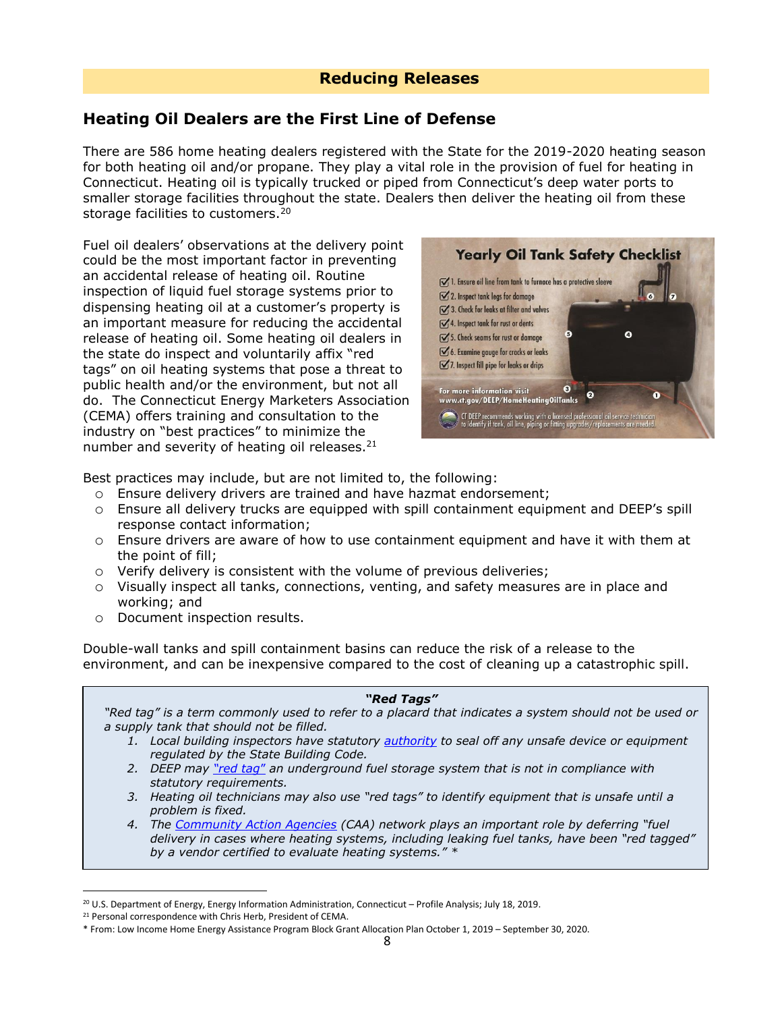# **Reducing Releases**

# **Heating Oil Dealers are the First Line of Defense**

There are 586 home heating dealers registered with the State for the 2019-2020 heating season for both heating oil and/or propane. They play a vital role in the provision of fuel for heating in Connecticut. Heating oil is typically trucked or piped from Connecticut's deep water ports to smaller storage facilities throughout the state. Dealers then deliver the heating oil from these storage facilities to customers.<sup>20</sup>

Fuel oil dealers' observations at the delivery point could be the most important factor in preventing an accidental release of heating oil. Routine inspection of liquid fuel storage systems prior to dispensing heating oil at a customer's property is an important measure for reducing the accidental release of heating oil. Some heating oil dealers in the state do inspect and voluntarily affix "red tags" on oil heating systems that pose a threat to public health and/or the environment, but not all do. The Connecticut Energy Marketers Association (CEMA) offers training and consultation to the industry on "best practices" to minimize the number and severity of heating oil releases.<sup>21</sup>



Best practices may include, but are not limited to, the following:

- o Ensure delivery drivers are trained and have hazmat endorsement;
- o Ensure all delivery trucks are equipped with spill containment equipment and DEEP's spill response contact information;
- $\circ$  Ensure drivers are aware of how to use containment equipment and have it with them at the point of fill;
- o Verify delivery is consistent with the volume of previous deliveries;
- o Visually inspect all tanks, connections, venting, and safety measures are in place and working; and
- o Document inspection results.

Double-wall tanks and spill containment basins can reduce the risk of a release to the environment, and can be inexpensive compared to the cost of cleaning up a catastrophic spill.

#### *"Red Tags"*

*"Red tag" is a term commonly used to refer to a placard that indicates a system should not be used or a supply tank that should not be filled.* 

- *1. Local building inspectors have statutory [authority](https://portal.ct.gov/-/media/DAS/Office-of-State-Building-Inspector/2018-CT-State-Building-Code---Effective-10-01-18.pdf) to seal off any unsafe device or equipment regulated by the State Building Code.*
- *2. DEEP may ["red tag](https://www.ct.gov/deep/cwp/view.asp?a=2692&Q=450822&deepNav_GID=1652)*" *an underground fuel storage system that is not in compliance with statutory requirements.*
- *3. Heating oil technicians may also use "red tags" to identify equipment that is unsafe until a problem is fixed.*
- *4. The [Community Action Agencies](http://www.cafca.org/our-network) (CAA) network plays an important role by deferring "fuel delivery in cases where heating systems, including leaking fuel tanks, have been "red tagged" by a vendor certified to evaluate heating systems." \**

<sup>&</sup>lt;sup>20</sup> U.S. Department of Energy, Energy Information Administration, Connecticut – Profile Analysis; July 18, 2019.

<sup>&</sup>lt;sup>21</sup> Personal correspondence with Chris Herb, President of CEMA.

<sup>\*</sup> From: Low Income Home Energy Assistance Program Block Grant Allocation Plan October 1, 2019 – September 30, 2020.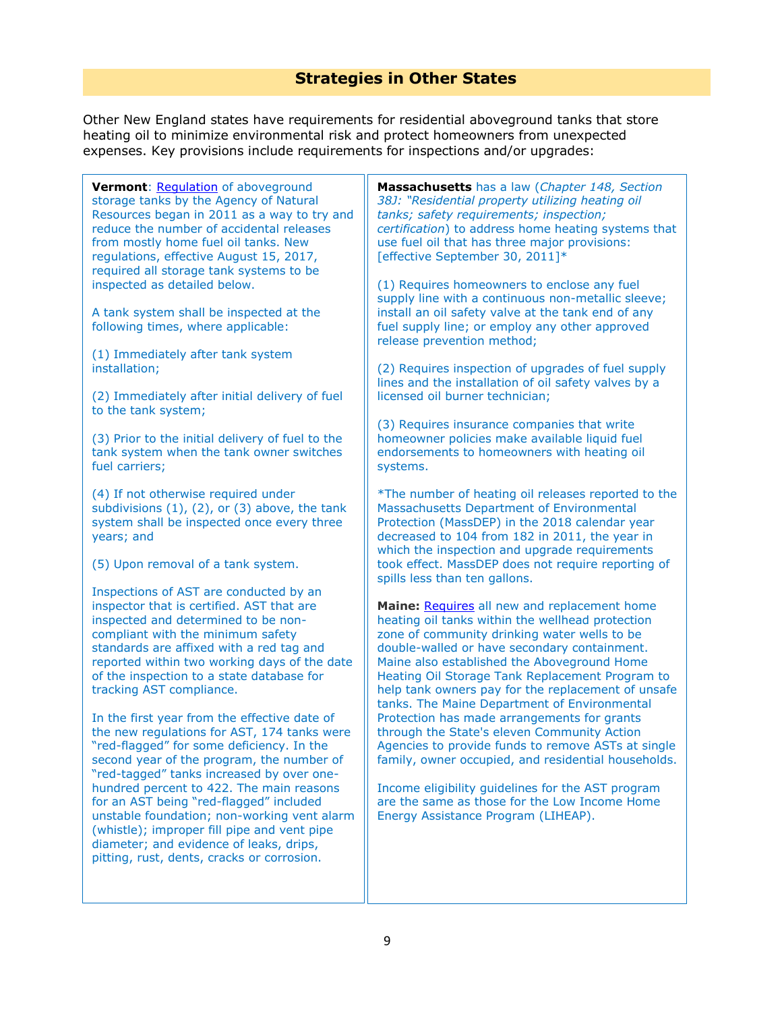### **Strategies in Other States**

Other New England states have requirements for residential aboveground tanks that store heating oil to minimize environmental risk and protect homeowners from unexpected expenses. Key provisions include requirements for inspections and/or upgrades:

**Vermont: [Regulation](https://dec.vermont.gov/sites/dec/files/wmp/UST/Aboveground_Storage_Tank_Rules_8-15-2017.pdf) of aboveground** storage tanks by the Agency of Natural Resources began in 2011 as a way to try and reduce the number of accidental releases from mostly home fuel oil tanks. New regulations, effective August 15, 2017, required all storage tank systems to be inspected as detailed below.

A tank system shall be inspected at the following times, where applicable:

(1) Immediately after tank system installation;

(2) Immediately after initial delivery of fuel to the tank system;

(3) Prior to the initial delivery of fuel to the tank system when the tank owner switches fuel carriers;

(4) If not otherwise required under subdivisions (1), (2), or (3) above, the tank system shall be inspected once every three years; and

(5) Upon removal of a tank system.

Inspections of AST are conducted by an inspector that is certified. AST that are inspected and determined to be noncompliant with the minimum safety standards are affixed with a red tag and reported within two working days of the date of the inspection to a state database for tracking AST compliance.

In the first year from the effective date of the new regulations for AST, 174 tanks were "red-flagged" for some deficiency. In the second year of the program, the number of "red-tagged" tanks increased by over onehundred percent to 422. The main reasons for an AST being "red-flagged" included unstable foundation; non-working vent alarm (whistle); improper fill pipe and vent pipe diameter; and evidence of leaks, drips, pitting, rust, dents, cracks or corrosion.

**Massachusetts** has a law (*Chapter 148, Section 38J: "Residential property utilizing heating oil tanks; safety requirements; inspection; certification*) to address home heating systems that use fuel oil that has three major provisions: [effective September 30, 2011]\*

(1) Requires homeowners to enclose any fuel supply line with a continuous non-metallic sleeve; install an oil safety valve at the tank end of any fuel supply line; or employ any other approved release prevention method;

(2) Requires inspection of upgrades of fuel supply lines and the installation of oil safety valves by a licensed oil burner technician;

(3) Requires insurance companies that write homeowner policies make available liquid fuel endorsements to homeowners with heating oil systems.

\*The number of heating oil releases reported to the Massachusetts Department of Environmental Protection (MassDEP) in the 2018 calendar year decreased to 104 from 182 in 2011, the year in which the inspection and upgrade requirements took effect. MassDEP does not require reporting of spills less than ten gallons.

**Maine:** [Requires](https://www.maine.gov/dep/waste/abovegroundtanks/replacement.html) all new and replacement home heating oil tanks within the wellhead protection zone of community drinking water wells to be double-walled or have secondary containment. Maine also established the Aboveground Home Heating Oil Storage Tank Replacement Program to help tank owners pay for the replacement of unsafe tanks. The Maine Department of Environmental Protection has made arrangements for grants through the State's eleven Community Action Agencies to provide funds to remove ASTs at single family, owner occupied, and residential households.

Income eligibility guidelines for the AST program are the same as those for the Low Income Home Energy Assistance Program (LIHEAP).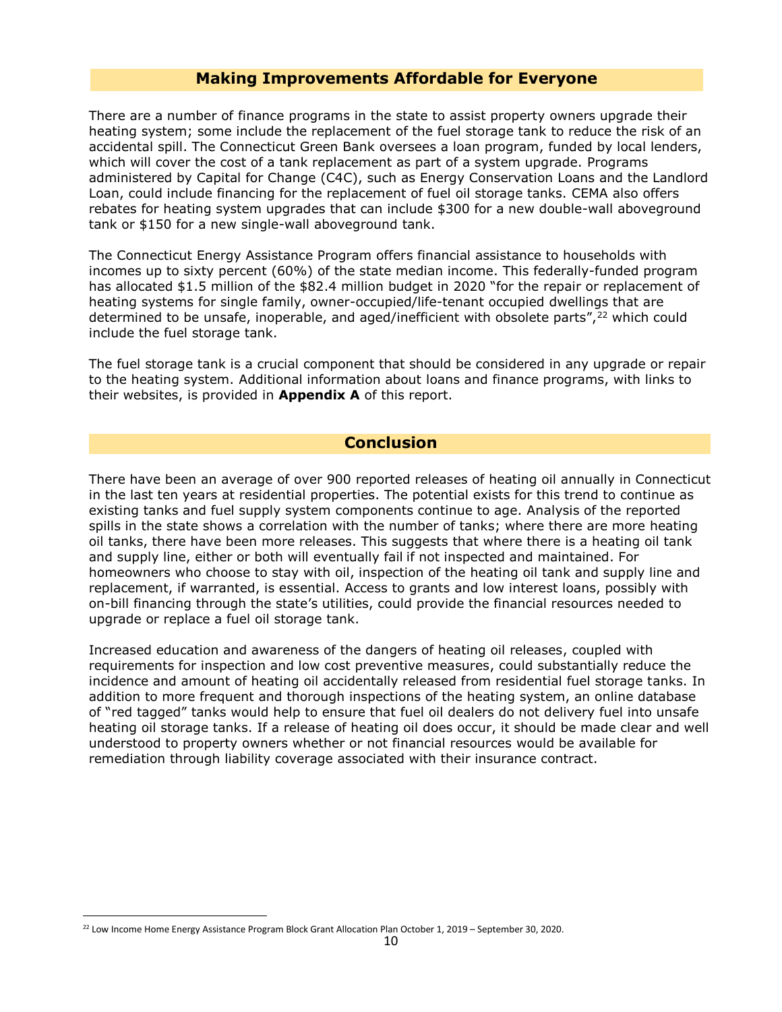### **Making Improvements Affordable for Everyone**

There are a number of finance programs in the state to assist property owners upgrade their heating system; some include the replacement of the fuel storage tank to reduce the risk of an accidental spill. The Connecticut Green Bank oversees a loan program, funded by local lenders, which will cover the cost of a tank replacement as part of a system upgrade. Programs administered by Capital for Change (C4C), such as Energy Conservation Loans and the Landlord Loan, could include financing for the replacement of fuel oil storage tanks. CEMA also offers rebates for heating system upgrades that can include \$300 for a new double-wall aboveground tank or \$150 for a new single-wall aboveground tank.

The Connecticut Energy Assistance Program offers financial assistance to households with incomes up to sixty percent (60%) of the state median income. This federally-funded program has allocated \$1.5 million of the \$82.4 million budget in 2020 "for the repair or replacement of heating systems for single family, owner-occupied/life-tenant occupied dwellings that are determined to be unsafe, inoperable, and aged/inefficient with obsolete parts",<sup>22</sup> which could include the fuel storage tank.

The fuel storage tank is a crucial component that should be considered in any upgrade or repair to the heating system. Additional information about loans and finance programs, with links to their websites, is provided in **Appendix A** of this report.

### **Conclusion**

There have been an average of over 900 reported releases of heating oil annually in Connecticut in the last ten years at residential properties. The potential exists for this trend to continue as existing tanks and fuel supply system components continue to age. Analysis of the reported spills in the state shows a correlation with the number of tanks; where there are more heating oil tanks, there have been more releases. This suggests that where there is a heating oil tank and supply line, either or both will eventually fail if not inspected and maintained. For homeowners who choose to stay with oil, inspection of the heating oil tank and supply line and replacement, if warranted, is essential. Access to grants and low interest loans, possibly with on-bill financing through the state's utilities, could provide the financial resources needed to upgrade or replace a fuel oil storage tank.

Increased education and awareness of the dangers of heating oil releases, coupled with requirements for inspection and low cost preventive measures, could substantially reduce the incidence and amount of heating oil accidentally released from residential fuel storage tanks. In addition to more frequent and thorough inspections of the heating system, an online database of "red tagged" tanks would help to ensure that fuel oil dealers do not delivery fuel into unsafe heating oil storage tanks. If a release of heating oil does occur, it should be made clear and well understood to property owners whether or not financial resources would be available for remediation through liability coverage associated with their insurance contract.

<sup>22</sup> Low Income Home Energy Assistance Program Block Grant Allocation Plan October 1, 2019 – September 30, 2020.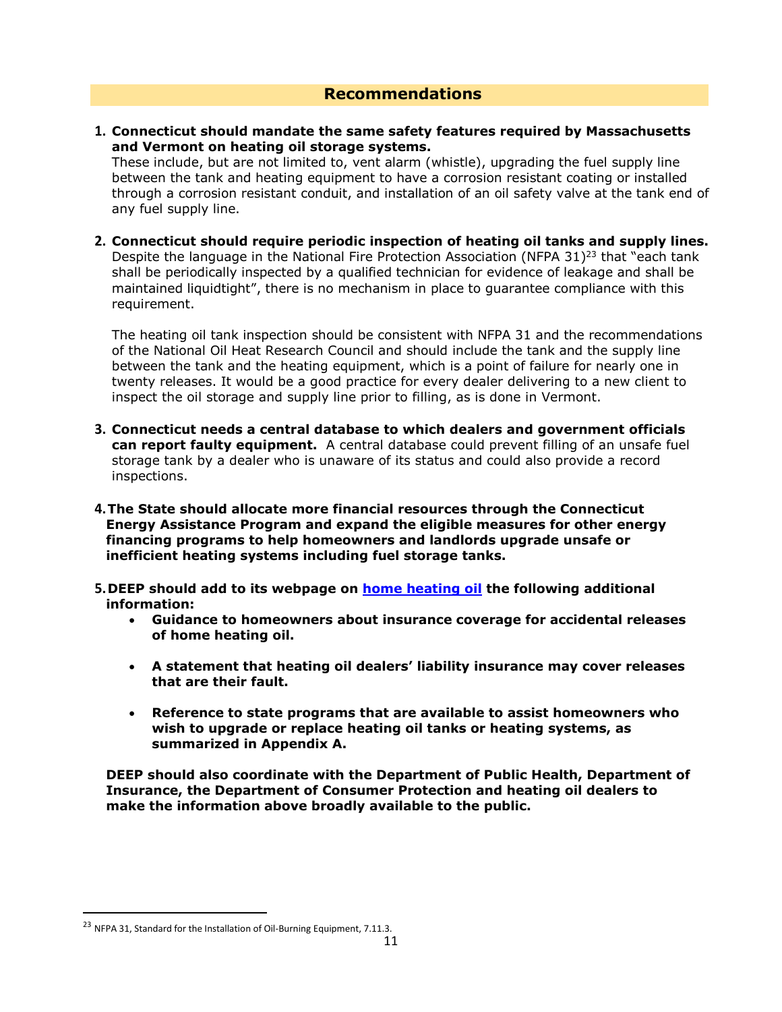# **Recommendations**

**1. Connecticut should mandate the same safety features required by Massachusetts and Vermont on heating oil storage systems.**

These include, but are not limited to, vent alarm (whistle), upgrading the fuel supply line between the tank and heating equipment to have a corrosion resistant coating or installed through a corrosion resistant conduit, and installation of an oil safety valve at the tank end of any fuel supply line.

**2. Connecticut should require periodic inspection of heating oil tanks and supply lines.**  Despite the language in the National Fire Protection Association (NFPA 31)<sup>23</sup> that "each tank shall be periodically inspected by a qualified technician for evidence of leakage and shall be maintained liquidtight", there is no mechanism in place to guarantee compliance with this requirement.

The heating oil tank inspection should be consistent with NFPA 31 and the recommendations of the National Oil Heat Research Council and should include the tank and the supply line between the tank and the heating equipment, which is a point of failure for nearly one in twenty releases. It would be a good practice for every dealer delivering to a new client to inspect the oil storage and supply line prior to filling, as is done in Vermont.

- **3. Connecticut needs a central database to which dealers and government officials can report faulty equipment.** A central database could prevent filling of an unsafe fuel storage tank by a dealer who is unaware of its status and could also provide a record inspections.
- **4.The State should allocate more financial resources through the Connecticut Energy Assistance Program and expand the eligible measures for other energy financing programs to help homeowners and landlords upgrade unsafe or inefficient heating systems including fuel storage tanks.**
- **5.DEEP should add to its webpage on [home heating oil](https://www.ct.gov/deep/cwp/view.asp?a=2692&q=322578&deepNav_GID=1652) the following additional information:**
	- **Guidance to homeowners about insurance coverage for accidental releases of home heating oil.**
	- **A statement that heating oil dealers' liability insurance may cover releases that are their fault.**
	- **Reference to state programs that are available to assist homeowners who wish to upgrade or replace heating oil tanks or heating systems, as summarized in Appendix A.**

**DEEP should also coordinate with the Department of Public Health, Department of Insurance, the Department of Consumer Protection and heating oil dealers to make the information above broadly available to the public.**

<sup>&</sup>lt;sup>23</sup> NFPA 31, Standard for the Installation of Oil-Burning Equipment, 7.11.3.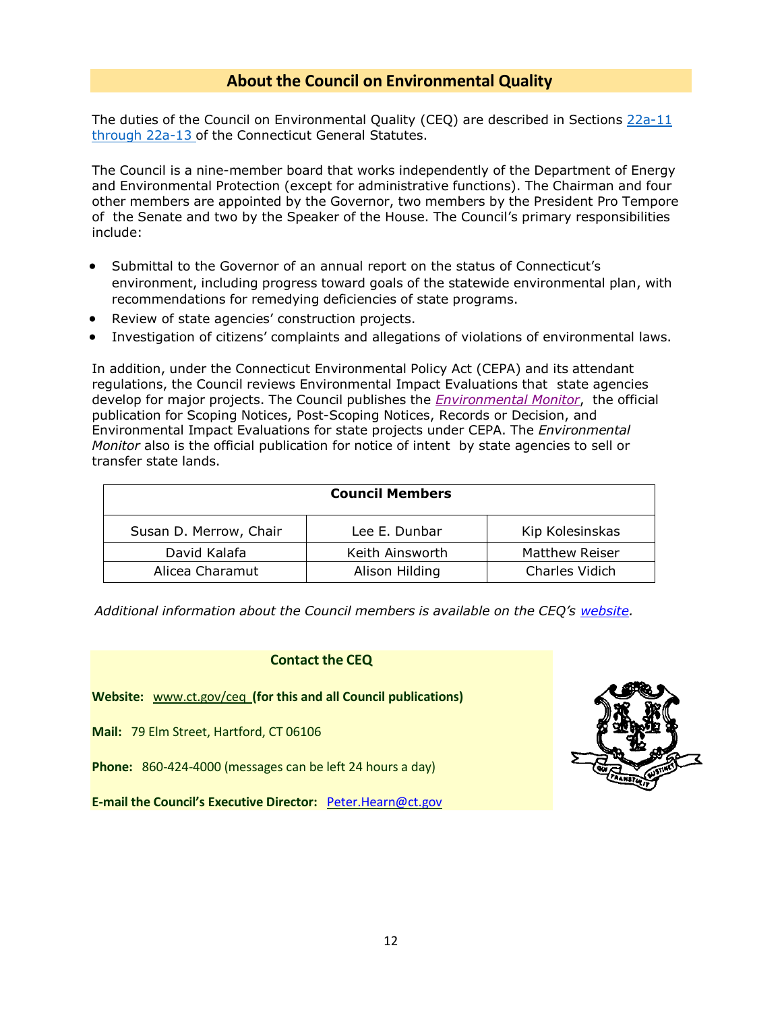# **About the Council on Environmental Quality**

The duties of the Council on Environmental Quality (CEQ) are described in Sections [22a-11](http://www.ct.gov/ceq/cwp/view.asp?a=985&Q=516890) [through](http://www.ct.gov/ceq/cwp/view.asp?a=985&Q=516890) 22a-13 of the Connecticut General Statutes.

The Council is a nine-member board that works independently of the Department of Energy and Environmental Protection (except for administrative functions). The Chairman and four other members are appointed by the Governor, two members by the President Pro Tempore of the Senate and two by the Speaker of the House. The Council's primary responsibilities include:

- Submittal to the Governor of an annual report on the status of Connecticut's environment, including progress toward goals of the statewide environmental plan, with recommendations for remedying deficiencies of state programs.
- Review of state agencies' construction projects.
- Investigation of citizens' complaints and allegations of violations of environmental laws.

In addition, under the Connecticut Environmental Policy Act (CEPA) and its attendant regulations, the Council reviews Environmental Impact Evaluations that state agencies develop for major projects. The Council publishes the *[Environmental](http://www.ct.gov/ceq/cwp/view.asp?a=987&Q=249438&ceqNav=%7C) Monitor*, the official publication for Scoping Notices, Post-Scoping Notices, Records or Decision, and Environmental Impact Evaluations for state projects under CEPA. The *Environmental Monitor* also is the official publication for notice of intent by state agencies to sell or transfer state lands.

| <b>Council Members</b> |                 |                       |
|------------------------|-----------------|-----------------------|
| Susan D. Merrow, Chair | Lee E. Dunbar   | Kip Kolesinskas       |
| David Kalafa           | Keith Ainsworth | <b>Matthew Reiser</b> |
| Alicea Charamut        | Alison Hilding  | <b>Charles Vidich</b> |

*Additional information about the Council members is available on the CEQ's [website.](http://www.ct.gov/ceq/cwp/view.asp?a=985&q=248722)*

#### **Contact the CEQ**

**Website:** [www.ct.gov/ceq](http://www.ct.gov/ceq) **(for this and all Council publications)**

**Mail:** 79 Elm Street, Hartford, CT 06106

**Phone:** 860-424-4000 (messages can be left 24 hours a day)

**E-mail the Council's Executive Director:** [Peter.Hearn@ct.gov](mailto:Peter.Hearn@ct.gov)

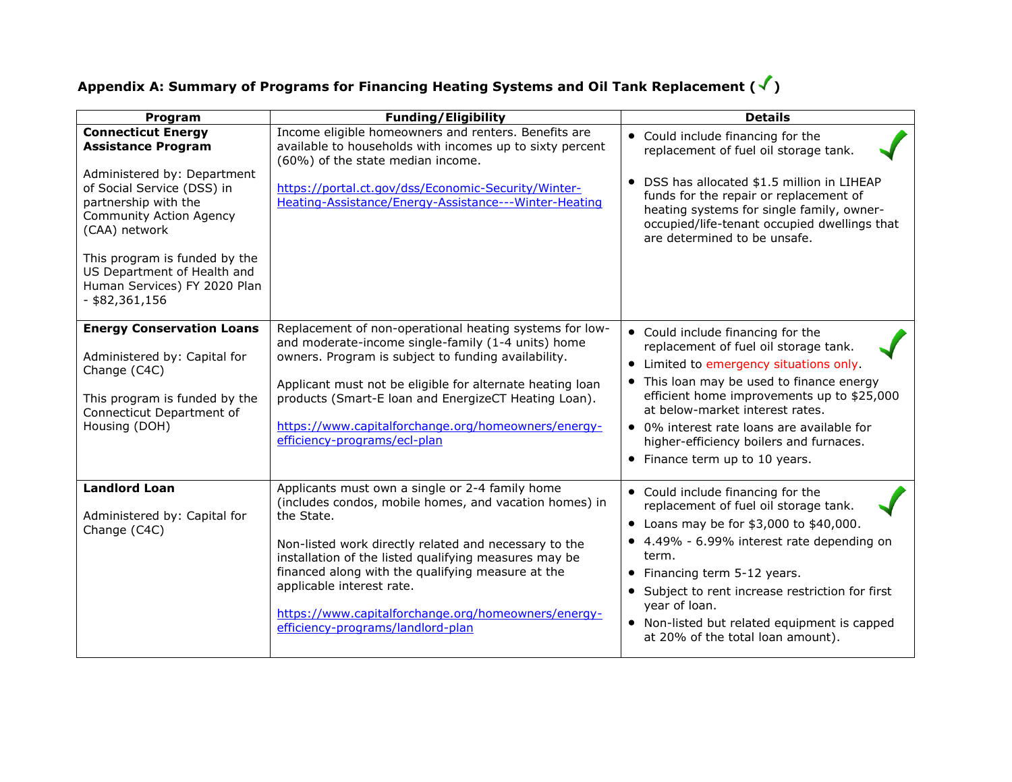# **Appendix A: Summary of Programs for Financing Heating Systems and Oil Tank Replacement ( )**

| Program                                                                                                                                                                                                                                                                                                            | <b>Funding/Eligibility</b>                                                                                                                                                                                                                                                                                                                                                                                              | <b>Details</b>                                                                                                                                                                                                                                                                                                                                                               |
|--------------------------------------------------------------------------------------------------------------------------------------------------------------------------------------------------------------------------------------------------------------------------------------------------------------------|-------------------------------------------------------------------------------------------------------------------------------------------------------------------------------------------------------------------------------------------------------------------------------------------------------------------------------------------------------------------------------------------------------------------------|------------------------------------------------------------------------------------------------------------------------------------------------------------------------------------------------------------------------------------------------------------------------------------------------------------------------------------------------------------------------------|
| <b>Connecticut Energy</b><br><b>Assistance Program</b><br>Administered by: Department<br>of Social Service (DSS) in<br>partnership with the<br><b>Community Action Agency</b><br>(CAA) network<br>This program is funded by the<br>US Department of Health and<br>Human Services) FY 2020 Plan<br>$-$ \$82,361,156 | Income eligible homeowners and renters. Benefits are<br>available to households with incomes up to sixty percent<br>(60%) of the state median income.<br>https://portal.ct.gov/dss/Economic-Security/Winter-<br>Heating-Assistance/Energy-Assistance---Winter-Heating                                                                                                                                                   | • Could include financing for the<br>replacement of fuel oil storage tank.<br>• DSS has allocated \$1.5 million in LIHEAP<br>funds for the repair or replacement of<br>heating systems for single family, owner-<br>occupied/life-tenant occupied dwellings that<br>are determined to be unsafe.                                                                             |
| <b>Energy Conservation Loans</b><br>Administered by: Capital for<br>Change (C4C)<br>This program is funded by the<br>Connecticut Department of<br>Housing (DOH)                                                                                                                                                    | Replacement of non-operational heating systems for low-<br>and moderate-income single-family (1-4 units) home<br>owners. Program is subject to funding availability.<br>Applicant must not be eligible for alternate heating loan<br>products (Smart-E loan and EnergizeCT Heating Loan).<br>https://www.capitalforchange.org/homeowners/energy-<br>efficiency-programs/ecl-plan                                        | • Could include financing for the<br>replacement of fuel oil storage tank.<br>• Limited to emergency situations only.<br>This loan may be used to finance energy<br>efficient home improvements up to \$25,000<br>at below-market interest rates.<br>• 0% interest rate loans are available for<br>higher-efficiency boilers and furnaces.<br>• Finance term up to 10 years. |
| <b>Landlord Loan</b><br>Administered by: Capital for<br>Change (C4C)                                                                                                                                                                                                                                               | Applicants must own a single or 2-4 family home<br>(includes condos, mobile homes, and vacation homes) in<br>the State.<br>Non-listed work directly related and necessary to the<br>installation of the listed qualifying measures may be<br>financed along with the qualifying measure at the<br>applicable interest rate.<br>https://www.capitalforchange.org/homeowners/energy-<br>efficiency-programs/landlord-plan | • Could include financing for the<br>replacement of fuel oil storage tank.<br>• Loans may be for \$3,000 to \$40,000.<br>• 4.49% - 6.99% interest rate depending on<br>term.<br>• Financing term 5-12 years.<br>• Subject to rent increase restriction for first<br>year of loan.<br>• Non-listed but related equipment is capped<br>at 20% of the total loan amount).       |